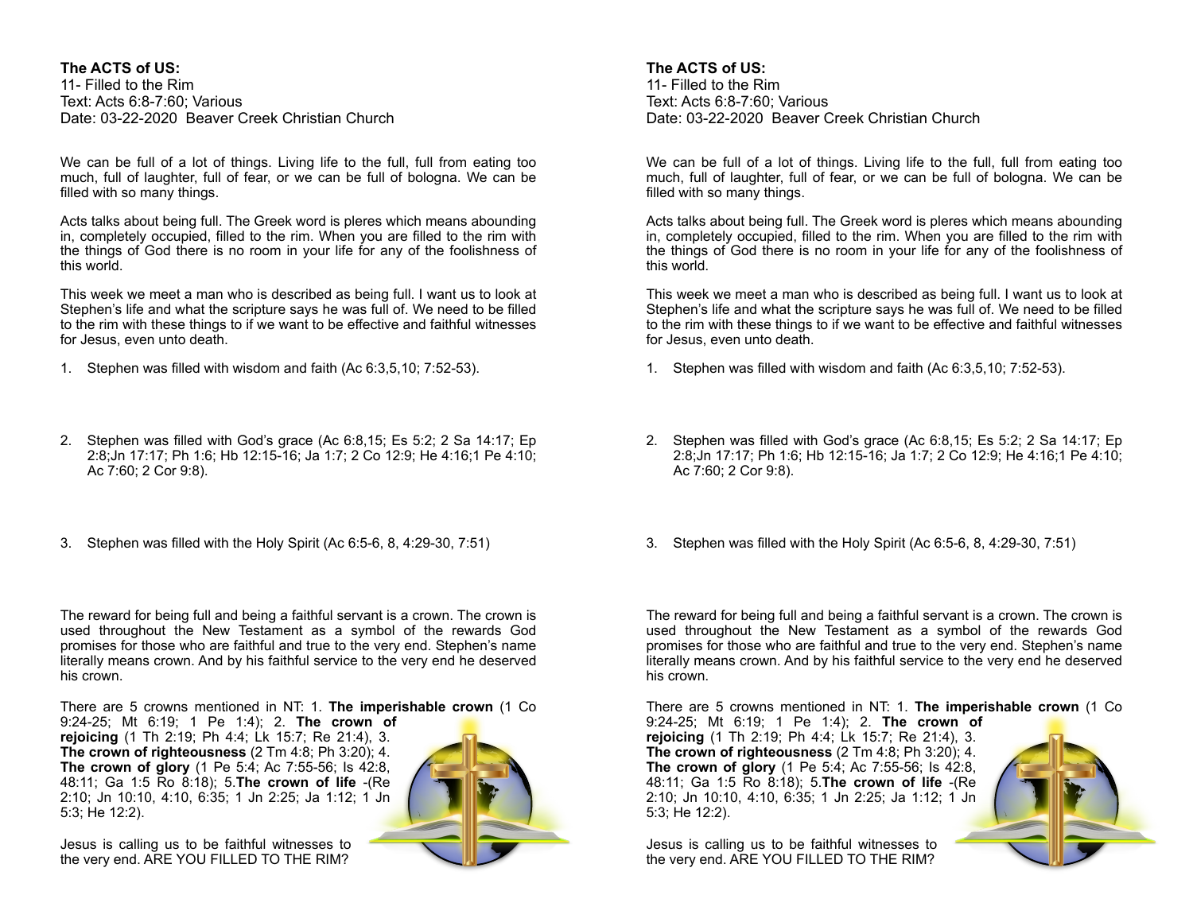## **The ACTS of US:**

11- Filled to the Rim Text: Acts 6:8-7:60; Various Date: 03-22-2020 Beaver Creek Christian Church

We can be full of a lot of things. Living life to the full, full from eating too much, full of laughter, full of fear, or we can be full of bologna. We can be filled with so many things.

Acts talks about being full. The Greek word is pleres which means abounding in, completely occupied, filled to the rim. When you are filled to the rim with the things of God there is no room in your life for any of the foolishness of this world.

This week we meet a man who is described as being full. I want us to look at Stephen's life and what the scripture says he was full of. We need to be filled to the rim with these things to if we want to be effective and faithful witnesses for Jesus, even unto death.

- 1. Stephen was filled with wisdom and faith (Ac 6:3,5,10; 7:52-53).
- 2. Stephen was filled with God's grace (Ac 6:8,15; Es 5:2; 2 Sa 14:17; Ep 2:8;Jn 17:17; Ph 1:6; Hb 12:15-16; Ja 1:7; 2 Co 12:9; He 4:16;1 Pe 4:10; Ac 7:60; 2 Cor 9:8).
- 3. Stephen was filled with the Holy Spirit (Ac 6:5-6, 8, 4:29-30, 7:51)

The reward for being full and being a faithful servant is a crown. The crown is used throughout the New Testament as a symbol of the rewards God promises for those who are faithful and true to the very end. Stephen's name literally means crown. And by his faithful service to the very end he deserved his crown.

There are 5 crowns mentioned in NT: 1. **The imperishable crown** (1 Co

9:24-25; Mt 6:19; 1 Pe 1:4); 2. **The crown of rejoicing** (1 Th 2:19; Ph 4:4; Lk 15:7; Re 21:4), 3. **The crown of righteousness** (2 Tm 4:8; Ph 3:20); 4. **The crown of glory** (1 Pe 5:4; Ac 7:55-56; Is 42:8, 48:11; Ga 1:5 Ro 8:18); 5.**The crown of life** -(Re 2:10; Jn 10:10, 4:10, 6:35; 1 Jn 2:25; Ja 1:12; 1 Jn 5:3; He 12:2).

Jesus is calling us to be faithful witnesses to the very end. ARE YOU FILLED TO THE RIM?



# **The ACTS of US:**

11- Filled to the Rim Text: Acts 6:8-7:60; Various Date: 03-22-2020 Beaver Creek Christian Church

We can be full of a lot of things. Living life to the full, full from eating too much, full of laughter, full of fear, or we can be full of bologna. We can be filled with so many things.

Acts talks about being full. The Greek word is pleres which means abounding in, completely occupied, filled to the rim. When you are filled to the rim with the things of God there is no room in your life for any of the foolishness of this world.

This week we meet a man who is described as being full. I want us to look at Stephen's life and what the scripture says he was full of. We need to be filled to the rim with these things to if we want to be effective and faithful witnesses for Jesus, even unto death.

- 1. Stephen was filled with wisdom and faith (Ac 6:3,5,10; 7:52-53).
- 2. Stephen was filled with God's grace (Ac 6:8,15; Es 5:2; 2 Sa 14:17; Ep 2:8;Jn 17:17; Ph 1:6; Hb 12:15-16; Ja 1:7; 2 Co 12:9; He 4:16;1 Pe 4:10; Ac 7:60; 2 Cor 9:8).
- 3. Stephen was filled with the Holy Spirit (Ac 6:5-6, 8, 4:29-30, 7:51)

The reward for being full and being a faithful servant is a crown. The crown is used throughout the New Testament as a symbol of the rewards God promises for those who are faithful and true to the very end. Stephen's name literally means crown. And by his faithful service to the very end he deserved his crown.

There are 5 crowns mentioned in NT: 1. **The imperishable crown** (1 Co

9:24-25; Mt 6:19; 1 Pe 1:4); 2. **The crown of rejoicing** (1 Th 2:19; Ph 4:4; Lk 15:7; Re 21:4), 3. **The crown of righteousness** (2 Tm 4:8; Ph 3:20); 4. **The crown of glory** (1 Pe 5:4; Ac 7:55-56; Is 42:8, 48:11; Ga 1:5 Ro 8:18); 5.**The crown of life** -(Re 2:10; Jn 10:10, 4:10, 6:35; 1 Jn 2:25; Ja 1:12; 1 Jn 5:3; He 12:2).



Jesus is calling us to be faithful witnesses to the very end. ARE YOU FILLED TO THE RIM?